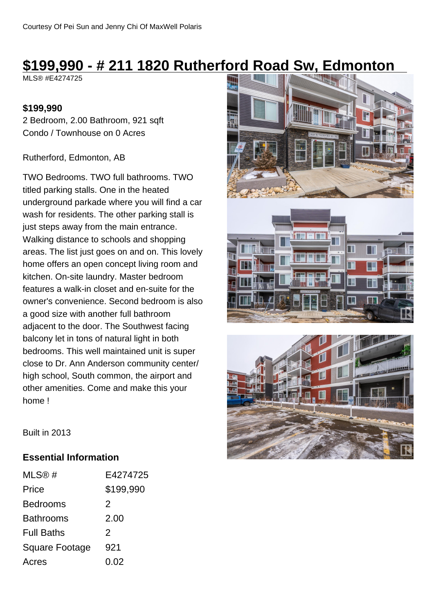# **\$199,990 - # 211 1820 Rutherford Road Sw, Edmonton**

MLS® #E4274725

### **\$199,990**

2 Bedroom, 2.00 Bathroom, 921 sqft Condo / Townhouse on 0 Acres

#### Rutherford, Edmonton, AB

TWO Bedrooms. TWO full bathrooms. TWO titled parking stalls. One in the heated underground parkade where you will find a car wash for residents. The other parking stall is just steps away from the main entrance. Walking distance to schools and shopping areas. The list just goes on and on. This lovely home offers an open concept living room and kitchen. On-site laundry. Master bedroom features a walk-in closet and en-suite for the owner's convenience. Second bedroom is also a good size with another full bathroom adjacent to the door. The Southwest facing balcony let in tons of natural light in both bedrooms. This well maintained unit is super close to Dr. Ann Anderson community center/ high school, South common, the airport and other amenities. Come and make this your home !







Built in 2013

### **Essential Information**

| MLS@#                 | E4274725      |
|-----------------------|---------------|
| Price                 | \$199,990     |
| <b>Bedrooms</b>       | 2             |
| Bathrooms             | 2.00          |
| <b>Full Baths</b>     | $\mathcal{P}$ |
| <b>Square Footage</b> | 921           |
| Acres                 | 0.02          |